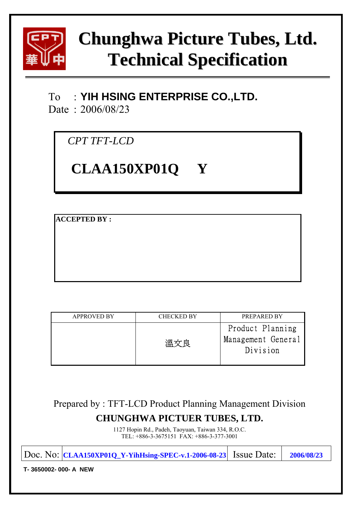

# **Chunghwa Picture Tubes, Ltd. Technical Specification**

## To : **YIH HSING ENTERPRISE CO.,LTD.**

Date : 2006/08/23

*CPT TFT-LCD* 

# **CLAA150XP01Q Y**

**ACCEPTED BY :** 

| <b>APPROVED BY</b> | <b>CHECKED BY</b>                         | <b>PREPARED BY</b>                                 |
|--------------------|-------------------------------------------|----------------------------------------------------|
|                    | ガロック うちかん うちかん うちかい ごうかん ごうかん うちかん うちがっかい | Product Planning<br>Management General<br>Division |

## Prepared by : TFT-LCD Product Planning Management Division **CHUNGHWA PICTUER TUBES, LTD.**

1127 Hopin Rd., Padeh, Taoyuan, Taiwan 334, R.O.C. TEL: +886-3-3675151 FAX: +886-3-377-3001

|                     | $ Doc. No:  CLAA150XP01Q_Y-YihHsing-SPEC-v.1-2006-08-23 $ Issue Date: |  | 2006/08/23 |  |  |
|---------------------|-----------------------------------------------------------------------|--|------------|--|--|
| T-3650002-000-A NEW |                                                                       |  |            |  |  |
|                     |                                                                       |  |            |  |  |
|                     |                                                                       |  |            |  |  |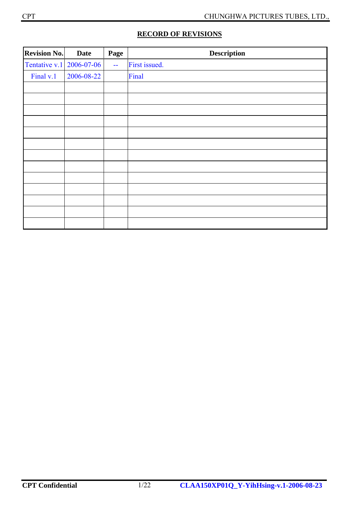| <b>Revision No.</b> | <b>Date</b> | Page   | <b>Description</b> |
|---------------------|-------------|--------|--------------------|
| Tentative v.1       | 2006-07-06  | $\sim$ | First issued.      |
| Final v.1           | 2006-08-22  |        | Final              |
|                     |             |        |                    |
|                     |             |        |                    |
|                     |             |        |                    |
|                     |             |        |                    |
|                     |             |        |                    |
|                     |             |        |                    |
|                     |             |        |                    |
|                     |             |        |                    |
|                     |             |        |                    |
|                     |             |        |                    |
|                     |             |        |                    |
|                     |             |        |                    |
|                     |             |        |                    |

## **RECORD OF REVISIONS**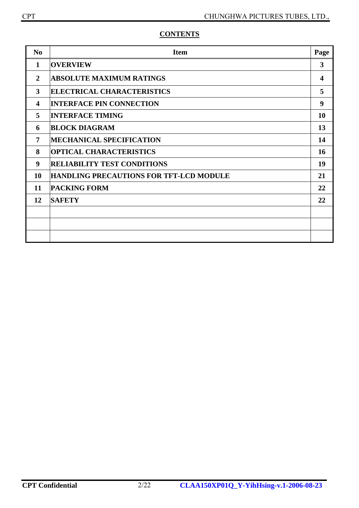| $\bf No$                | <b>Item</b>                                    | Page                    |
|-------------------------|------------------------------------------------|-------------------------|
| $\mathbf 1$             | <b>OVERVIEW</b>                                | $\overline{\mathbf{3}}$ |
| $\mathbf{2}$            | <b>ABSOLUTE MAXIMUM RATINGS</b>                | 4                       |
| 3                       | <b>ELECTRICAL CHARACTERISTICS</b>              | 5                       |
| $\overline{\mathbf{4}}$ | <b>INTERFACE PIN CONNECTION</b>                | $\boldsymbol{9}$        |
| 5                       | <b>INTERFACE TIMING</b>                        | 10                      |
| 6                       | <b>BLOCK DIAGRAM</b>                           | 13                      |
| 7                       | <b>MECHANICAL SPECIFICATION</b>                | 14                      |
| 8                       | <b>OPTICAL CHARACTERISTICS</b>                 | 16                      |
| 9                       | <b>RELIABILITY TEST CONDITIONS</b>             | 19                      |
| 10                      | <b>HANDLING PRECAUTIONS FOR TFT-LCD MODULE</b> | 21                      |
| 11                      | <b>PACKING FORM</b>                            | 22                      |
| 12                      | <b>SAFETY</b>                                  | 22                      |
|                         |                                                |                         |
|                         |                                                |                         |
|                         |                                                |                         |

## **CONTENTS**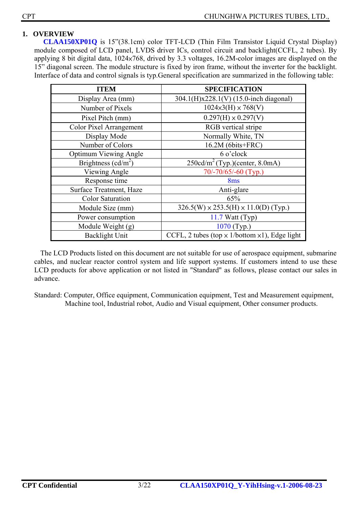#### **1. OVERVIEW**

**CLAA150XP01Q** is 15"(38.1cm) color TFT-LCD (Thin Film Transistor Liquid Crystal Display) module composed of LCD panel, LVDS driver ICs, control circuit and backlight(CCFL, 2 tubes). By applying 8 bit digital data, 1024×768, drived by 3.3 voltages, 16.2M-color images are displayed on the 15" diagonal screen. The module structure is fixed by iron frame, without the inverter for the backlight. Interface of data and control signals is typ.General specification are summarized in the following table:

| <b>ITEM</b>                    | <b>SPECIFICATION</b>                                         |
|--------------------------------|--------------------------------------------------------------|
| Display Area (mm)              | 304.1(H)x228.1(V) (15.0-inch diagonal)                       |
| Number of Pixels               | $1024\times3$ (H) $\times 768$ (V)                           |
| Pixel Pitch (mm)               | $0.297(H) \times 0.297(V)$                                   |
| <b>Color Pixel Arrangement</b> | RGB vertical stripe                                          |
| Display Mode                   | Normally White, TN                                           |
| Number of Colors               | 16.2M (6bits+FRC)                                            |
| <b>Optimum Viewing Angle</b>   | 6 o'clock                                                    |
| Brightness ( $cd/m2$ )         | $250 \text{cd/m}^2$ (Typ.)(center, 8.0mA)                    |
| Viewing Angle                  | 70/-70/65/-60 (Typ.)                                         |
| Response time                  | 8 <sub>ms</sub>                                              |
| Surface Treatment, Haze        | Anti-glare                                                   |
| <b>Color Saturation</b>        | 65%                                                          |
| Module Size (mm)               | $326.5(W) \times 253.5(H) \times 11.0(D)$ (Typ.)             |
| Power consumption              | $11.7$ Watt (Typ)                                            |
| Module Weight (g)              | 1070 (Typ.)                                                  |
| <b>Backlight Unit</b>          | CCFL, 2 tubes (top $\times$ 1/bottom $\times$ 1), Edge light |

The LCD Products listed on this document are not suitable for use of aerospace equipment, submarine cables, and nuclear reactor control system and life support systems. If customers intend to use these LCD products for above application or not listed in "Standard" as follows, please contact our sales in advance.

Standard: Computer, Office equipment, Communication equipment, Test and Measurement equipment, Machine tool, Industrial robot, Audio and Visual equipment, Other consumer products.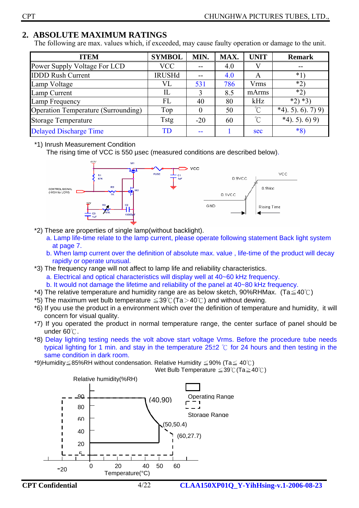## **2. ABSOLUTE MAXIMUM RATINGS**

The following are max. values which, if exceeded, may cause faulty operation or damage to the unit.

| <b>ITEM</b>                                | <b>SYMBOL</b>          | MIN.     | MAX. | <b>UNIT</b> | <b>Remark</b>        |
|--------------------------------------------|------------------------|----------|------|-------------|----------------------|
| Power Supply Voltage For LCD               | <b>VCC</b>             | $- -$    | 4.0  |             | $- -$                |
| <b>IDDD Rush Current</b>                   | <b>IRUSHd</b>          | $- -$    | 4.0  | A           | *1                   |
| Lamp Voltage                               | VL                     | 531      | 786  | <b>Vrms</b> | $*2)$                |
| Lamp Current                               | IL                     |          | 8.5  | mArms       | $*2)$                |
| Lamp Frequency                             | FL                     | 40       | 80   | kHz         | $*2)*3$              |
| <b>Operation Temperature (Surrounding)</b> | Top                    | $\theta$ | 50   | $\sim$      | $*4$ , 5), 6), 7) 9) |
| <b>Storage Temperature</b>                 | <b>Tstg</b>            | $-20$    | 60   | $^{\circ}C$ | $*4$ ). 5). 6) 9)    |
| <b>Delayed Discharge Time</b>              | $\overline{\text{TD}}$ |          |      | sec         | $*8)$                |

\*1) Inrush Measurement Condition

The rising time of VCC is 550 µsec (measured conditions are described below).



- \*2) These are properties of single lamp(without backlight).
	- a. Lamp life-time relate to the lamp current, please operate following statement Back light system at page 7.
	- b. When lamp current over the definition of absolute max. value , life-time of the product will decay rapidly or operate unusual.
- \*3) The frequency range will not affect to lamp life and reliability characteristics.
	- a. Electrical and optical characteristics will display well at 40~60 kHz frequency.
	- b. It would not damage the lifetime and reliability of the panel at 40~80 kHz frequency.
- \*4) The relative temperature and humidity range are as below sketch, 90%RHMax. (Ta $\leq 40^{\circ}$ C)
- \*5) The maximum wet bulb temperature  $\leq$  39°C (Ta  $>$  40°C) and without dewing.
- \*6) If you use the product in a environment which over the definition of temperature and humidity, it will concern for visual quality.
- \*7) If you operated the product in normal temperature range, the center surface of panel should be under  $60^{\circ}$ .
- \*8) Delay lighting testing needs the volt above start voltage Vrms. Before the procedure tube needs typical lighting for 1 min. and stay in the temperature  $25±2$  °C for 24 hours and then testing in the same condition in dark room.

\*9)Humidity  $\leq$  85%RH without condensation. Relative Humidity  $\leq$  90% (Ta $\leq$  40°C)

Wet Bulb Temperature  $\leq 39^{\circ}$  (Ta $\geq 40^{\circ}$ C)



**CPT Confidential** 4/22 **CLAA150XP01Q\_Y-YihHsing-v.1-2006-08-23**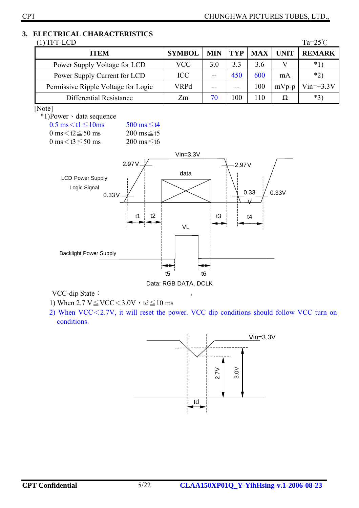## **3. ELECTRICAL CHARACTERISTICS**

| TFT-LCD                             |               |            |            |            |             | $Ta=25^{\circ}$ |
|-------------------------------------|---------------|------------|------------|------------|-------------|-----------------|
| <b>ITEM</b>                         | <b>SYMBOL</b> | <b>MIN</b> | <b>TYP</b> | <b>MAX</b> | <b>UNIT</b> | <b>REMARK</b>   |
| Power Supply Voltage for LCD        | <b>VCC</b>    | 30         | 33         | 36         |             | $*1$            |
| Power Supply Current for LCD        | <b>ICC</b>    |            | 450        | 600        | mA          | $*2)$           |
| Permissive Ripple Voltage for Logic | VRPd          |            | $-$        | 100        | $mVp-p$     | $Vin=+3.3V$     |
| Differential Resistance             | Zm            | 70         | 100        | 110        | Ω           | $*3)$           |

#### [Note]

\*1)Power、data sequence

 $0.5 \text{ ms} \leq t1 \leq 10 \text{ ms}$   $500 \text{ ms} \leq t4$  $0 \text{ ms} \leq t2 \leq 50 \text{ ms}$   $200 \text{ ms} \leq t5$  $0 \text{ ms} < t$ 3 $\leq$ 50 ms 200 ms $\leq$ t6





VCC-dip State:

- 1) When  $2.7 \text{ V} \leq \text{VCC} < 3.0 \text{ V} \cdot \text{td} \leq 10 \text{ ms}$
- 2) When VCC<2.7V, it will reset the power. VCC dip conditions should follow VCC turn on conditions.

,

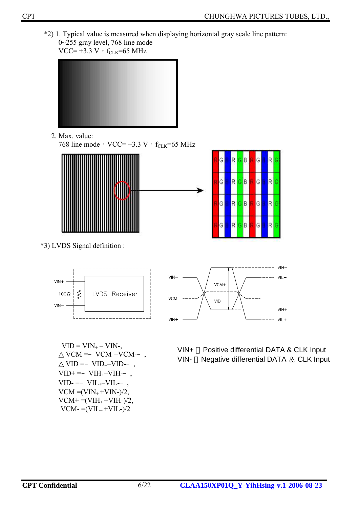\*2) 1. Typical value is measured when displaying horizontal gray scale line pattern: 0~255 gray level, 768 line mode



2. Max. value:

768 line mode, VCC= +3.3 V,  $f_{CLK}$ =65 MHz





\*3) LVDS Signal definition :



 $VID = VIN<sub>+</sub> - VIN<sub>7</sub>$  $VCM = VCM_{+} - VCM_{-}$  $VID = VID_{+}-VID$ - $VID+=VIH_{+}-VIH_{-}$ ,  $VID = VIL + -VIL VCM = (VIN_+ + VIN_-)/2$ ,  $VCM+ = (VIH_{+} + VIH_{-})/2,$  $VCM = (VIL<sub>+</sub>+VIL-)/2$ 



- VIN+ Positive differential DATA & CLK Input
- VIN- Negative differential DATA  $&$  CLK Input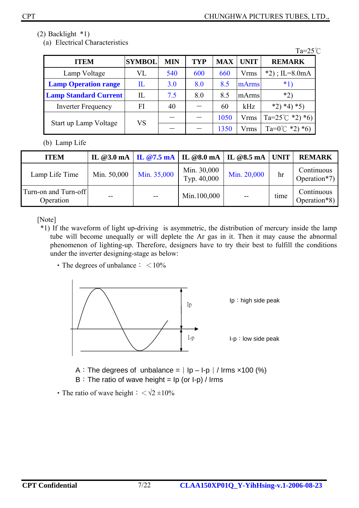(2) Backlight \*1)

(a) Electrical Characteristics

|                              |                          |            |            |            |             | $Ta=25^{\circ}C$           |
|------------------------------|--------------------------|------------|------------|------------|-------------|----------------------------|
| <b>ITEM</b>                  | <b>SYMBOL</b>            | <b>MIN</b> | <b>TYP</b> | <b>MAX</b> | <b>UNIT</b> | <b>REMARK</b>              |
| Lamp Voltage                 | VL                       | 540        | 600        | 660        | <b>Vrms</b> | $*2$ ; IL=8.0mA            |
| <b>Lamp Operation range</b>  | $\rm{I}\hspace{-1.2pt}L$ | 3.0        | 8.0        | 8.5        | mArms       | $*1)$                      |
| <b>Lamp Standard Current</b> | IL                       | 7.5        | 8.0        | 8.5        | mArms       | $*2)$                      |
| <b>Inverter Frequency</b>    | FI                       | 40         |            | 60         | kHz         | $*4)*5)$<br>$*2)$          |
| Start up Lamp Voltage        | VS                       |            |            | 1050       | <b>Vrms</b> | Ta= $25^{\circ}$ C *2) *6) |
|                              |                          |            |            | 1350       | Vrms        | Ta= $0^{\circ}$ C *2) *6)  |

(b) Lamp Life

| <b>ITEM</b>                       |             |             | IL @3.0 mA   IL @7.5 mA   IL @8.0 mA   IL @8.5 mA   UNIT |             |      | <b>REMARK</b>              |
|-----------------------------------|-------------|-------------|----------------------------------------------------------|-------------|------|----------------------------|
| Lamp Life Time                    | Min. 50,000 | Min. 35,000 | Min. 30,000<br>Typ. 40,000                               | Min. 20,000 | hr   | Continuous<br>Operation*7) |
| Turn-on and Turn-off<br>Operation | $- -$       | $- -$       | Min.100,000                                              | $ -$        | time | Continuous<br>Operation*8) |

[Note]

- \*1) If the waveform of light up-driving is asymmetric, the distribution of mercury inside the lamp tube will become unequally or will deplete the Ar gas in it. Then it may cause the abnormal phenomenon of lighting-up. Therefore, designers have to try their best to fulfill the conditions under the inverter designing-stage as below:
	- The degrees of unbalance:  $\lt 10\%$



- A: The degrees of unbalance =  $|$  Ip I-p  $|$  / Irms  $\times$ 100 (%)
- B: The ratio of wave height =  $lp$  (or  $l-p$ ) / Irms
- The ratio of wave height:  $\langle \sqrt{2} \pm 10 \rangle$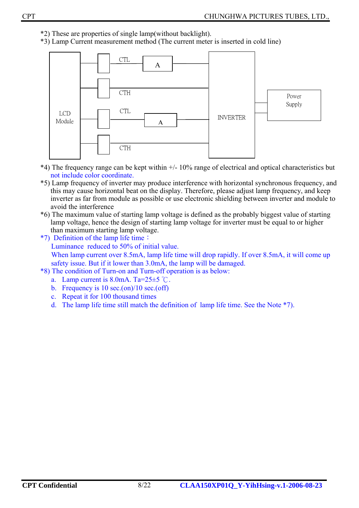- \*2) These are properties of single lamp(without backlight).
- \*3) Lamp Current measurement method (The current meter is inserted in cold line)



- \*4) The frequency range can be kept within +/- 10% range of electrical and optical characteristics but not include color coordinate.
- \*5) Lamp frequency of inverter may produce interference with horizontal synchronous frequency, and this may cause horizontal beat on the display. Therefore, please adjust lamp frequency, and keep inverter as far from module as possible or use electronic shielding between inverter and module to avoid the interference
- \*6) The maximum value of starting lamp voltage is defined as the probably biggest value of starting lamp voltage, hence the design of starting lamp voltage for inverter must be equal to or higher than maximum starting lamp voltage.
- \*7)Definition of the lamp life time: Luminance reduced to 50% of initial value. When lamp current over 8.5mA, lamp life time will drop rapidly. If over 8.5mA, it will come up safety issue. But if it lower than 3.0mA, the lamp will be damaged.
- \*8) The condition of Turn-on and Turn-off operation is as below:
	- a. Lamp current is  $8.0 \text{mA}$ . Ta= $25\pm5$  °C.
	- b. Frequency is  $10 \text{ sec.}(\text{on})/10 \text{ sec.}(\text{off})$
	- c. Repeat it for 100 thousand times
	- d. The lamp life time still match the definition of lamp life time. See the Note \*7).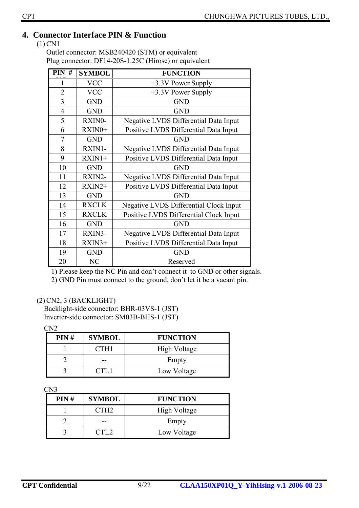## **4. Connector Interface PIN & Function**

(1) CN1

Outlet connector: MSB240420 (STM) or equivalent Plug connector: DF14-20S-1.25C (Hirose) or equivalent

| $PIN$ #        | <b>SYMBOL</b> | <b>FUNCTION</b>                               |
|----------------|---------------|-----------------------------------------------|
| 1              | <b>VCC</b>    | +3.3V Power Supply                            |
| $\overline{2}$ | <b>VCC</b>    | +3.3V Power Supply                            |
| 3              | <b>GND</b>    | <b>GND</b>                                    |
| $\overline{4}$ | <b>GND</b>    | <b>GND</b>                                    |
| 5              | RXIN0-        | Negative LVDS Differential Data Input         |
| 6              | RXIN0+        | Positive LVDS Differential Data Input         |
| $\overline{7}$ | <b>GND</b>    | <b>GND</b>                                    |
| 8              | RXIN1-        | Negative LVDS Differential Data Input         |
| 9              | $RXIN1+$      | Positive LVDS Differential Data Input         |
| 10             | <b>GND</b>    | <b>GND</b>                                    |
| 11             | RXIN2-        | Negative LVDS Differential Data Input         |
| 12             | $RXIN2+$      | Positive LVDS Differential Data Input         |
| 13             | <b>GND</b>    | <b>GND</b>                                    |
| 14             | <b>RXCLK</b>  | <b>Negative LVDS Differential Clock Input</b> |
| 15             | <b>RXCLK</b>  | Positive LVDS Differential Clock Input        |
| 16             | <b>GND</b>    | <b>GND</b>                                    |
| 17             | RXIN3-        | Negative LVDS Differential Data Input         |
| 18             | $RXIN3+$      | Positive LVDS Differential Data Input         |
| 19             | <b>GND</b>    | <b>GND</b>                                    |
| 20             | NC            | Reserved                                      |

1) Please keep the NC Pin and don't connect it to GND or other signals. 2) GND Pin must connect to the ground, don't let it be a vacant pin.

#### (2)CN2, 3 (BACKLIGHT)

Backlight-side connector: BHR-03VS-1 (JST) Inverter-side connector: SM03B-BHS-1 (JST)

 $CN<sub>2</sub>$ 

| PIN# | <b>SYMBOL</b>    | <b>FUNCTION</b> |
|------|------------------|-----------------|
|      | CTH <sub>1</sub> | High Voltage    |
|      |                  | Empty           |
|      | CTI 1            | Low Voltage     |

CN3

| PIN# | <b>SYMBOL</b>    | <b>FUNCTION</b> |
|------|------------------|-----------------|
|      | CTH <sub>2</sub> | High Voltage    |
|      |                  | Empty           |
|      | CTL2             | Low Voltage     |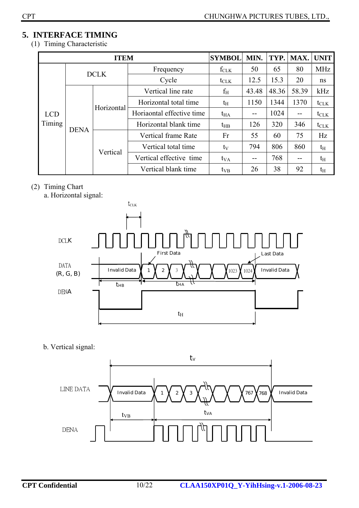## **5. INTERFACE TIMING**

(1) Timing Characteristic

|                      |             | <b>ITEM</b> |                           | <b>SYMBOL</b>    | MIN.  | TYP.  | MAX.  | <b>UNIT</b>      |
|----------------------|-------------|-------------|---------------------------|------------------|-------|-------|-------|------------------|
|                      |             | <b>DCLK</b> | Frequency                 | $f_{CLK}$        | 50    | 65    | 80    | <b>MHz</b>       |
|                      |             |             | Cycle                     | $t_{\text{CLK}}$ | 12.5  | 15.3  | 20    | ns               |
|                      | <b>DENA</b> | Horizontal  | Vertical line rate        | $f_{\rm H}$      | 43.48 | 48.36 | 58.39 | kHz              |
| <b>LCD</b><br>Timing |             |             | Horizontal total time     | $t_{\rm H}$      | 1150  | 1344  | 1370  | $t_{\text{CLK}}$ |
|                      |             |             | Horiaontal effective time | $t_{HA}$         | $-$   | 1024  | $-$   | $t_{\text{CLK}}$ |
|                      |             |             | Horizontal blank time     | $t_{HB}$         | 126   | 320   | 346   | $t_{\text{CLK}}$ |
|                      |             |             | Vertical frame Rate       | Fr               | 55    | 60    | 75    | Hz               |
|                      |             |             | Vertical total time       | $t_V$            | 794   | 806   | 860   | $t_{\rm H}$      |
|                      |             | Vertical    | Vertical effective time   | $t_{VA}$         | $- -$ | 768   | --    | $t_{\rm H}$      |
|                      |             |             | Vertical blank time       | $t_{VB}$         | 26    | 38    | 92    | $t_{\rm H}$      |

## (2) Timing Chart

a. Horizontal signal:



b. Vertical signal:

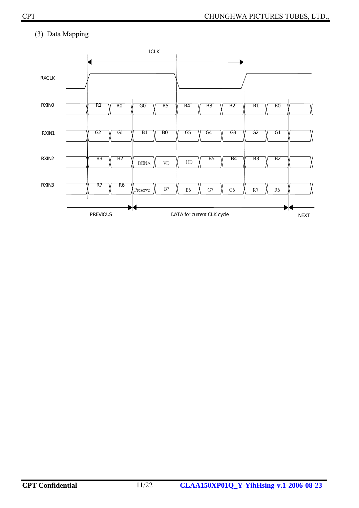## (3) Data Mapping

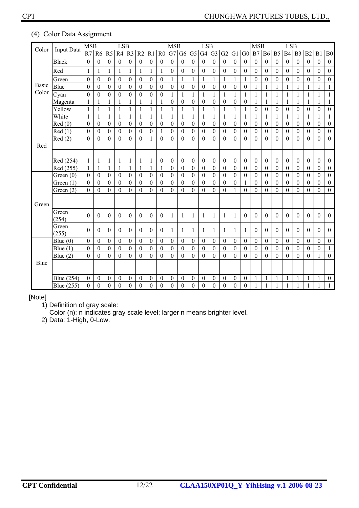| Color        | <b>Input Data</b> | <b>MSB</b>       |                  |                  | <b>LSB</b>       |                  |                  |                  |                  | <b>MSB</b>       |                  |                  | <b>LSB</b>       |                  |                  |                  |                  | <b>MSB</b>       |                  |                  | <b>LSB</b>       |                  |                  |                  |                  |
|--------------|-------------------|------------------|------------------|------------------|------------------|------------------|------------------|------------------|------------------|------------------|------------------|------------------|------------------|------------------|------------------|------------------|------------------|------------------|------------------|------------------|------------------|------------------|------------------|------------------|------------------|
|              |                   | R7               | R <sub>6</sub>   | R <sub>5</sub>   | R4               | R <sub>3</sub>   | R <sub>2</sub>   | R1               | R <sub>0</sub>   | G7               | G <sub>6</sub>   | G <sub>5</sub>   | G <sub>4</sub>   | G <sub>3</sub>   | G <sub>2</sub>   | G1               | G <sub>0</sub>   | B7               | <b>B6</b>        | B <sub>5</sub>   | <b>B4</b>        | B <sub>3</sub>   | B2               | B1               | B <sub>0</sub>   |
|              | <b>Black</b>      | $\boldsymbol{0}$ | $\mathbf{0}$     | $\boldsymbol{0}$ | $\boldsymbol{0}$ | $\boldsymbol{0}$ | $\boldsymbol{0}$ | $\mathbf{0}$     | $\boldsymbol{0}$ | $\mathbf{0}$     | $\boldsymbol{0}$ | $\boldsymbol{0}$ | $\boldsymbol{0}$ | $\boldsymbol{0}$ | $\theta$         | $\boldsymbol{0}$ | $\boldsymbol{0}$ | $\boldsymbol{0}$ | $\boldsymbol{0}$ | $\boldsymbol{0}$ | $\boldsymbol{0}$ | $\boldsymbol{0}$ | $\boldsymbol{0}$ | $\theta$         | $\boldsymbol{0}$ |
|              | Red               | $\mathbf{1}$     | 1                | 1                | 1                | $\mathbf{1}$     | 1                | 1                | 1                | $\mathbf{0}$     | $\theta$         | $\boldsymbol{0}$ | $\mathbf{0}$     | $\boldsymbol{0}$ | $\theta$         | $\boldsymbol{0}$ | $\mathbf{0}$     | $\boldsymbol{0}$ | $\boldsymbol{0}$ | $\boldsymbol{0}$ | $\boldsymbol{0}$ | $\overline{0}$   | $\boldsymbol{0}$ | $\theta$         | $\boldsymbol{0}$ |
|              | Green             | $\mathbf{0}$     | $\theta$         | $\overline{0}$   | $\boldsymbol{0}$ | $\boldsymbol{0}$ | $\mathbf{0}$     | $\boldsymbol{0}$ | $\boldsymbol{0}$ | 1                | 1                | $\mathbf{1}$     | $\mathbf{1}$     | $\mathbf{1}$     | $\mathbf{1}$     | $\mathbf{1}$     | 1                | $\theta$         | $\boldsymbol{0}$ | $\mathbf{0}$     | $\overline{0}$   | $\boldsymbol{0}$ | $\boldsymbol{0}$ | $\theta$         | $\boldsymbol{0}$ |
| <b>Basic</b> | Blue              | $\boldsymbol{0}$ | $\mathbf{0}$     | $\boldsymbol{0}$ | $\boldsymbol{0}$ | $\boldsymbol{0}$ | $\boldsymbol{0}$ | $\theta$         | $\mathbf{0}$     | $\boldsymbol{0}$ | $\boldsymbol{0}$ | $\boldsymbol{0}$ | $\mathbf{0}$     | $\boldsymbol{0}$ | $\theta$         | $\boldsymbol{0}$ | $\boldsymbol{0}$ | $\mathbf{1}$     | $\mathbf{1}$     | $\mathbf{1}$     | 1                | 1                | $\mathbf{1}$     | 1                | $\mathbf{1}$     |
| Color        | Cyan              | $\theta$         | $\theta$         | $\theta$         | $\theta$         | $\boldsymbol{0}$ | $\mathbf{0}$     | $\theta$         | $\boldsymbol{0}$ | 1                | $\mathbf{1}$     |                  | $\mathbf{1}$     | $\mathbf{1}$     | $\mathbf{1}$     | 1                | 1                | 1                | $\mathbf{1}$     | $\mathbf{1}$     | 1                | $\mathbf{1}$     | $\mathbf{1}$     | 1                | $\mathbf{1}$     |
|              | Magenta           | 1                |                  | 1                | $\mathbf{1}$     | $\mathbf{1}$     | $\mathbf{1}$     | 1                | 1                | $\boldsymbol{0}$ | $\theta$         | $\boldsymbol{0}$ | $\theta$         | $\boldsymbol{0}$ | $\theta$         | $\boldsymbol{0}$ | $\mathbf{0}$     | $\mathbf{1}$     | $\mathbf{1}$     | $\mathbf{1}$     | $\mathbf{1}$     | $\mathbf{1}$     | $\mathbf{1}$     | 1                | $\mathbf{1}$     |
|              | Yellow            | 1                | 1                | 1                | 1                | $\mathbf{1}$     | 1                | 1                | 1                | 1                | 1                | 1                | $\mathbf{1}$     | 1                | 1                | 1                | 1                | $\theta$         | $\boldsymbol{0}$ | $\boldsymbol{0}$ | $\boldsymbol{0}$ | $\theta$         | $\boldsymbol{0}$ | $\theta$         | $\theta$         |
|              | White             | $\mathbf{1}$     | 1                | 1                | $\mathbf{1}$     | $\mathbf{1}$     | $\mathbf{1}$     | $\mathbf{1}$     | $\mathbf{1}$     | 1                | $\mathbf{1}$     | $\mathbf{1}$     | $\mathbf{1}$     | $\mathbf{1}$     | $\mathbf{1}$     | $\mathbf{1}$     | 1                | $\mathbf{1}$     | $\mathbf{1}$     | $\mathbf{1}$     | $\mathbf{1}$     | $\mathbf{1}$     | $\mathbf{1}$     | $\mathbf{1}$     | $\mathbf{1}$     |
|              | Red(0)            | $\theta$         | $\theta$         | $\boldsymbol{0}$ | $\boldsymbol{0}$ | $\boldsymbol{0}$ | $\boldsymbol{0}$ | $\mathbf{0}$     | $\mathbf{0}$     | $\boldsymbol{0}$ | $\boldsymbol{0}$ | $\boldsymbol{0}$ | $\boldsymbol{0}$ | $\boldsymbol{0}$ | $\theta$         | $\boldsymbol{0}$ | $\boldsymbol{0}$ | $\boldsymbol{0}$ | $\boldsymbol{0}$ | $\boldsymbol{0}$ | $\boldsymbol{0}$ | $\boldsymbol{0}$ | $\boldsymbol{0}$ | $\boldsymbol{0}$ | $\boldsymbol{0}$ |
|              | Red(1)            | $\theta$         | $\mathbf{0}$     | $\theta$         | $\theta$         | $\boldsymbol{0}$ | $\mathbf{0}$     | $\theta$         | $\mathbf{1}$     | $\theta$         | $\theta$         | $\mathbf{0}$     | $\boldsymbol{0}$ | $\theta$         | $\theta$         | $\mathbf{0}$     | $\theta$         | $\theta$         | $\boldsymbol{0}$ | $\theta$         | $\theta$         | $\theta$         | $\theta$         | $\theta$         | $\boldsymbol{0}$ |
|              | Red(2)            | $\theta$         | $\theta$         | $\theta$         | $\theta$         | $\theta$         | $\mathbf{0}$     | $\mathbf{1}$     | $\theta$         | $\theta$         | $\theta$         | $\theta$         | $\theta$         | $\theta$         | $\theta$         | $\theta$         | $\mathbf{0}$     | $\theta$         | $\theta$         | $\theta$         | $\theta$         | $\theta$         | $\theta$         | $\theta$         | $\boldsymbol{0}$ |
| Red          |                   |                  |                  |                  |                  |                  |                  |                  |                  |                  |                  |                  |                  |                  |                  |                  |                  |                  |                  |                  |                  |                  |                  |                  |                  |
|              |                   |                  |                  |                  |                  |                  |                  |                  |                  |                  |                  |                  |                  |                  |                  |                  |                  |                  |                  |                  |                  |                  |                  |                  |                  |
|              | Red (254)         | $\mathbf{1}$     | $\mathbf{1}$     | $\mathbf{1}$     | $\mathbf{1}$     | $\mathbf{1}$     | $\mathbf{1}$     | $\mathbf{1}$     | $\boldsymbol{0}$ | $\mathbf{0}$     | $\theta$         | $\boldsymbol{0}$ | $\boldsymbol{0}$ | $\boldsymbol{0}$ | $\boldsymbol{0}$ | $\mathbf{0}$     | $\boldsymbol{0}$ | $\boldsymbol{0}$ | $\boldsymbol{0}$ | $\boldsymbol{0}$ | $\boldsymbol{0}$ | $\boldsymbol{0}$ | $\boldsymbol{0}$ | $\boldsymbol{0}$ | $\boldsymbol{0}$ |
|              | Red (255)         | 1                |                  | 1                | $\mathbf{1}$     | $\mathbf{1}$     | $\mathbf{1}$     | 1                | $\mathbf{1}$     | $\theta$         | $\theta$         | $\theta$         | $\theta$         | $\mathbf{0}$     | $\theta$         | $\theta$         | $\mathbf{0}$     | $\mathbf{0}$     | $\theta$         | $\theta$         | $\overline{0}$   | $\theta$         | $\theta$         | $\theta$         | $\boldsymbol{0}$ |
|              | Green $(0)$       | $\boldsymbol{0}$ | $\boldsymbol{0}$ | $\theta$         | $\Omega$         | $\theta$         | $\mathbf{0}$     | $\theta$         | $\boldsymbol{0}$ | $\theta$         | $\theta$         | $\theta$         | $\boldsymbol{0}$ | $\mathbf{0}$     | $\theta$         | $\boldsymbol{0}$ | $\mathbf{0}$     | $\theta$         | $\theta$         | $\theta$         | $\overline{0}$   | $\theta$         | $\mathbf{0}$     | $\theta$         | $\boldsymbol{0}$ |
|              | Green (1)         | $\theta$         | $\theta$         | $\theta$         | $\theta$         | $\theta$         | $\theta$         | $\theta$         | $\theta$         | $\theta$         | $\theta$         | $\theta$         | $\theta$         | $\theta$         | $\theta$         | $\theta$         | 1                | $\theta$         | $\theta$         | $\theta$         | $\boldsymbol{0}$ | $\theta$         | $\theta$         | $\theta$         | $\theta$         |
|              | Green $(2)$       | $\theta$         | $\theta$         | $\Omega$         | $\theta$         | $\theta$         | $\Omega$         | $\theta$         | $\theta$         | $\theta$         | $\Omega$         | $\theta$         | $\theta$         | $\theta$         | $\theta$         | $\mathbf{1}$     | $\theta$         | $\Omega$         | $\theta$         | $\theta$         | $\theta$         | $\theta$         | $\theta$         | $\theta$         | $\theta$         |
| Green        |                   |                  |                  |                  |                  |                  |                  |                  |                  |                  |                  |                  |                  |                  |                  |                  |                  |                  |                  |                  |                  |                  |                  |                  |                  |
|              | Green             |                  |                  |                  |                  |                  |                  |                  |                  |                  |                  |                  |                  |                  |                  |                  |                  |                  |                  |                  |                  |                  |                  |                  |                  |
|              | (254)             | $\mathbf{0}$     | $\boldsymbol{0}$ | $\theta$         | $\boldsymbol{0}$ | $\boldsymbol{0}$ | $\mathbf{0}$     | $\theta$         | $\boldsymbol{0}$ | 1                | 1                | 1                | 1                | $\mathbf{1}$     | 1                | 1                | $\theta$         | $\theta$         | $\boldsymbol{0}$ | $\mathbf{0}$     | $\boldsymbol{0}$ | $\boldsymbol{0}$ | $\boldsymbol{0}$ | $\mathbf{0}$     | $\boldsymbol{0}$ |
|              | Green<br>(255)    | $\theta$         | $\theta$         | $\theta$         | $\Omega$         | $\theta$         | $\theta$         | $\mathbf{0}$     | $\theta$         | 1                | 1                | 1                | 1                | 1                | 1                | 1                | 1                | $\theta$         | $\Omega$         | $\theta$         | $\boldsymbol{0}$ | $\theta$         | $\boldsymbol{0}$ | $\theta$         | $\theta$         |
|              | Blue $(0)$        | $\theta$         | $\mathbf{0}$     | $\mathbf{0}$     | 0                | $\boldsymbol{0}$ | $\boldsymbol{0}$ | $\boldsymbol{0}$ | $\boldsymbol{0}$ | $\mathbf{0}$     | $\boldsymbol{0}$ | $\boldsymbol{0}$ | $\boldsymbol{0}$ | $\theta$         | $\boldsymbol{0}$ | $\boldsymbol{0}$ | $\mathbf{0}$     | $\mathbf{0}$     | $\boldsymbol{0}$ | $\theta$         | $\boldsymbol{0}$ | $\boldsymbol{0}$ | $\boldsymbol{0}$ | $\boldsymbol{0}$ | $\boldsymbol{0}$ |
|              | Blue $(1)$        | $\theta$         | $\boldsymbol{0}$ | $\theta$         | $\theta$         | $\theta$         | $\boldsymbol{0}$ | $\boldsymbol{0}$ | $\theta$         | $\mathbf{0}$     | $\theta$         | $\boldsymbol{0}$ | $\boldsymbol{0}$ | $\boldsymbol{0}$ | $\theta$         | $\theta$         | $\boldsymbol{0}$ | $\theta$         | $\boldsymbol{0}$ | $\theta$         | $\boldsymbol{0}$ | $\boldsymbol{0}$ | $\theta$         | $\boldsymbol{0}$ | $\mathbf{1}$     |
|              | Blue $(2)$        | $\theta$         | $\mathbf{0}$     | $\overline{0}$   | $\theta$         | $\overline{0}$   | $\overline{0}$   | $\mathbf{0}$     | $\mathbf{0}$     | $\mathbf{0}$     | $\overline{0}$   | $\theta$         | $\overline{0}$   | $\overline{0}$   | $\theta$         | $\mathbf{0}$     | $\mathbf{0}$     | $\theta$         | $\theta$         | $\overline{0}$   | $\overline{0}$   | $\theta$         | $\mathbf{0}$     | 1                | $\boldsymbol{0}$ |
| Blue         |                   |                  |                  |                  |                  |                  |                  |                  |                  |                  |                  |                  |                  |                  |                  |                  |                  |                  |                  |                  |                  |                  |                  |                  |                  |
|              |                   |                  |                  |                  |                  |                  |                  |                  |                  |                  |                  |                  |                  |                  |                  |                  |                  |                  |                  |                  |                  |                  |                  |                  |                  |
|              | Blue (254)        | $\mathbf{0}$     | $\mathbf{0}$     | $\theta$         | $\boldsymbol{0}$ | $\theta$         | $\boldsymbol{0}$ | $\boldsymbol{0}$ | $\boldsymbol{0}$ | $\mathbf{0}$     | $\theta$         | $\boldsymbol{0}$ | $\theta$         | $\theta$         | $\mathbf{0}$     | $\mathbf{0}$     | $\mathbf{0}$     | 1                | 1                | $\mathbf{1}$     | 1                |                  | 1                | 1                | $\boldsymbol{0}$ |
|              | Blue (255)        | $\mathbf{0}$     | $\mathbf{0}$     | $\theta$         | $\theta$         | $\theta$         | $\Omega$         | $\theta$         | $\theta$         | $\theta$         | $\theta$         | $\theta$         | $\theta$         | $\theta$         | $\theta$         | $\mathbf{0}$     | $\theta$         | 1                | 1                | $\mathbf{1}$     | 1                | 1                | $\mathbf{1}$     | 1                | 1                |

#### (4) Color Data Assignment

#### [Note]

1) Definition of gray scale:

Color (n): n indicates gray scale level; larger n means brighter level.

2) Data: 1-High, 0-Low.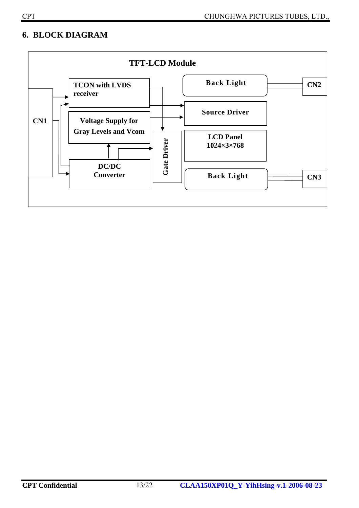## **6. BLOCK DIAGRAM**

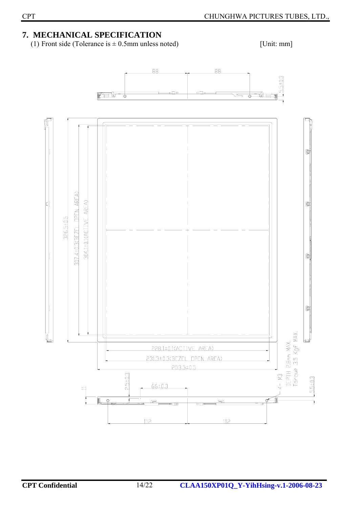## **7. MECHANICAL SPECIFICATION**

(1) Front side (Tolerance is  $\pm$  0.5mm unless noted) [Unit: mm]

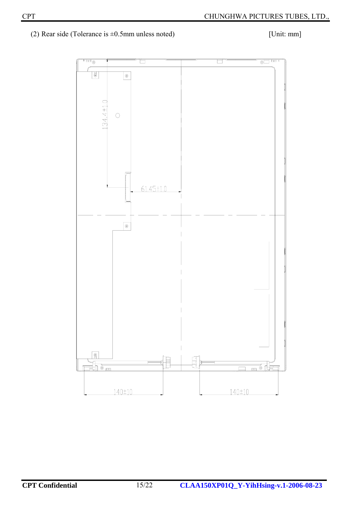(2) Rear side (Tolerance is  $\pm 0.5$ mm unless noted) [Unit: mm]

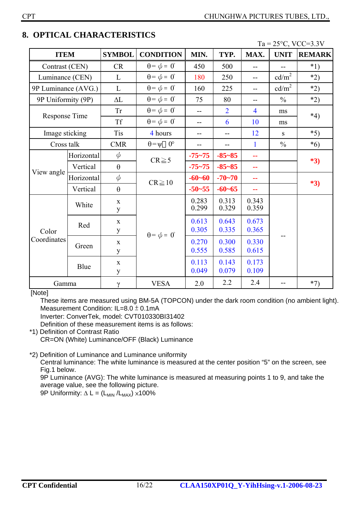|                      |            |                  |                                                      |                |                |                |                   | $1a - 23$ C, $VCC-3.3V$ |  |
|----------------------|------------|------------------|------------------------------------------------------|----------------|----------------|----------------|-------------------|-------------------------|--|
| <b>ITEM</b>          |            | <b>SYMBOL</b>    | <b>CONDITION</b>                                     | MIN.           | TYP.           | MAX.           | <b>UNIT</b>       | <b>REMARK</b>           |  |
| Contrast (CEN)       |            | CR               | $\theta = \phi = 0^{\circ}$                          | 450            | 500            | --             |                   | $*1)$                   |  |
| Luminance (CEN)      |            | L                | $\theta = \phi = 0^{\circ}$                          | 180            | 250            | $-$            | cd/m <sup>2</sup> | $*2)$                   |  |
| 9P Luminance (AVG.)  |            | L                | $\theta = \phi = 0^{\circ}$                          | 160            | 225            | --             | cd/m <sup>2</sup> | $*2)$                   |  |
| 9P Uniformity (9P)   |            | $\Delta L$       | $\theta = \phi = 0^{\circ}$                          | 75             | 80             | --             | $\frac{0}{0}$     | $*2)$                   |  |
| Response Time        |            | Tr               | $\theta = \phi = 0^{\circ}$<br>$\overline{2}$<br>$-$ |                | $\overline{4}$ | ms             | $*4)$             |                         |  |
|                      |            | <b>Tf</b>        | $\theta = \phi = 0^{\circ}$                          | 6<br>$-$       |                | 10             | ms                |                         |  |
| Image sticking       |            | <b>Tis</b>       | 4 hours                                              | --             | --             | 12             | S                 | $*5)$                   |  |
| Cross talk           |            | <b>CMR</b>       | $\theta = \psi$ 0°                                   | $-$            | --             | $\mathbf{1}$   | $\frac{0}{0}$     | $*6)$                   |  |
|                      | Horizontal | $\phi$           |                                                      | $-75 - 75$     | $-85 - 85$     | --             |                   | $*3)$                   |  |
|                      | Vertical   | $\theta$         | $CR \ge 5$                                           | $-75 - 75$     | $-85 - 85$     | 44             |                   |                         |  |
| View angle           | Horizontal | $\phi$           | $CR \geqq 10$                                        | $-60 - 60$     | $-70 - 70$     | 44             |                   | $*3)$                   |  |
|                      | Vertical   | $\theta$         |                                                      | $-50 - 55$     | $-60-65$       | 44             |                   |                         |  |
| Color<br>Coordinates | White      | $\mathbf X$<br>y |                                                      | 0.283<br>0.299 | 0.313<br>0.329 | 0.343<br>0.359 |                   |                         |  |
|                      | Red        | $\mathbf X$<br>y | $\theta = \phi = 0^{\circ}$                          | 0.613<br>0.305 | 0.643<br>0.335 | 0.673<br>0.365 |                   |                         |  |
|                      | Green      | $\mathbf X$<br>y |                                                      | 0.270<br>0.555 | 0.300<br>0.585 | 0.330<br>0.615 |                   |                         |  |
|                      | Blue       | $\mathbf X$<br>y |                                                      |                | 0.143<br>0.079 | 0.173<br>0.109 |                   |                         |  |
| Gamma                |            | $\gamma$         | <b>VESA</b>                                          | 2.0            | 2.2            | 2.4            | $-$               | $*7)$                   |  |

## **8. OPTICAL CHARACTERISTICS**

 $T_2 = 25\degree C$ , VCC=3, 3V

[Note]

These items are measured using BM-5A (TOPCON) under the dark room condition (no ambient light). Measurement Condition: IL=8.0 ± 0.1mA

Inverter: ConverTek, model: CVT010330BI31402

Definition of these measurement items is as follows:

\*1) Definition of Contrast Ratio CR=ON (White) Luminance/OFF (Black) Luminance

\*2) Definition of Luminance and Luminance uniformity

Central luminance: The white luminance is measured at the center position "5" on the screen, see Fig.1 below.

9P Luminance (AVG): The white luminance is measured at measuring points 1 to 9, and take the average value, see the following picture.

9P Uniformity:  $\Delta L = (L_{MIN}/L_{MAX}) \times 100\%$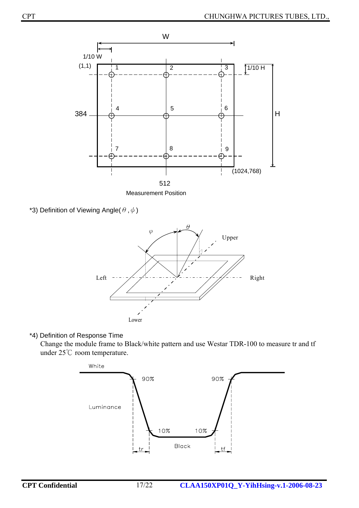

\*3) Definition of Viewing Angle( $\theta$ , $\phi$ )



## \*4) Definition of Response Time

Change the module frame to Black/white pattern and use Westar TDR-100 to measure tr and tf under 25℃ room temperature.

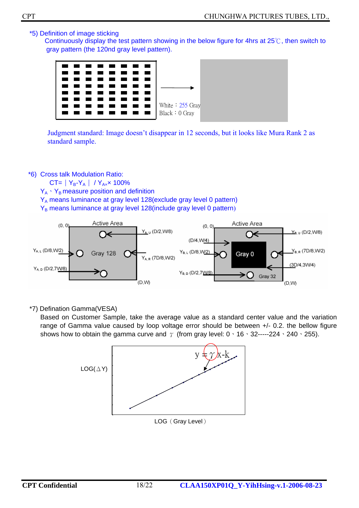\*5) Definition of image sticking

Continuously display the test pattern showing in the below figure for 4hrs at 25℃, then switch to gray pattern (the 120nd gray level pattern).



Judgment standard: Image doesn't disappear in 12 seconds, but it looks like Mura Rank 2 as standard sample.

\*6) Cross talk Modulation Ratio:

 $CT = | Y_B - Y_A | / Y_{Ax} \times 100\%$  $Y_A \cdot Y_B$  measure position and definition Y<sub>A</sub> means luminance at gray level 128(exclude gray level 0 pattern) Y<sub>B</sub> means luminance at gray level 128(include gray level 0 pattern)



\*7) Defination Gamma(VESA)

Based on Customer Sample, take the average value as a standard center value and the variation range of Gamma value caused by loop voltage error should be between +/- 0.2. the bellow figure shows how to obtain the gamma curve and  $\gamma$  (from gray level: 0  $\cdot$  16  $\cdot$  32-----224  $\cdot$  240  $\cdot$  255).



LOG (Gray Level)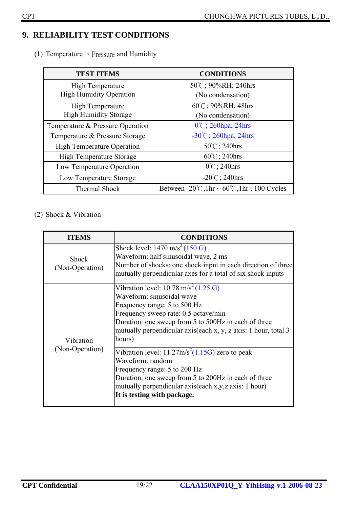## **9. RELIABILITY TEST CONDITIONS**

(1) Temperature 、Pressure and Humidity

| <b>TEST ITEMS</b>                 | <b>CONDITIONS</b>                                    |
|-----------------------------------|------------------------------------------------------|
| <b>High Temperature</b>           | 50°C; 90%RH; 240hrs                                  |
| <b>High Humidity Operation</b>    | (No condensation)                                    |
| High Temperature                  | $60^{\circ}$ C; 90%RH; 48hrs                         |
| <b>High Humidity Storage</b>      | (No condensation)                                    |
| Temperature & Pressure Operation  | $0^{\circ}$ C; 260hpa; 24hrs                         |
| Temperature & Pressure Storage    | $-30^{\circ}$ C; 260hpa; 24hrs                       |
| <b>High Temperature Operation</b> | $50^{\circ}$ C; 240hrs                               |
| <b>High Temperature Storage</b>   | $60^{\circ}$ C; 240hrs                               |
| Low Temperature Operation         | $0^{\circ}$ C; 240hrs                                |
| Low Temperature Storage           | $-20^{\circ}$ C; 240hrs                              |
| <b>Thermal Shock</b>              | Between -20°C, 1hr ~ $60^{\circ}$ C, 1hr; 100 Cycles |

(2) Shock & Vibration

| <b>ITEMS</b>                    | <b>CONDITIONS</b>                                                                                                                                                                                                                                                                         |
|---------------------------------|-------------------------------------------------------------------------------------------------------------------------------------------------------------------------------------------------------------------------------------------------------------------------------------------|
| <b>Shock</b><br>(Non-Operation) | Shock level: $1470 \text{ m/s}^2 (150 \text{ G})$<br>Waveform: half sinusoidal wave, 2 ms<br>Number of shocks: one shock input in each direction of three<br>mutually perpendicular axes for a total of six shock inputs                                                                  |
| Vibration                       | Vibration level: 10.78 m/s <sup>2</sup> (1.25 G)<br>Waveform: sinusoidal wave<br>Frequency range: 5 to 500 Hz<br>Frequency sweep rate: 0.5 octave/min<br>Duration: one sweep from 5 to 500Hz in each of three<br>mutually perpendicular axis(each x, y, z axis: 1 hour, total 3<br>hours) |
| (Non-Operation)                 | Vibration level: $11.27 \text{m/s}^2(1.15 \text{G})$ zero to peak<br>Waveform: random<br>Frequency range: 5 to 200 Hz<br>Duration: one sweep from 5 to 200Hz in each of three<br>mutually perpendicular axis(each x,y,z axis: 1 hour)<br>It is testing with package.                      |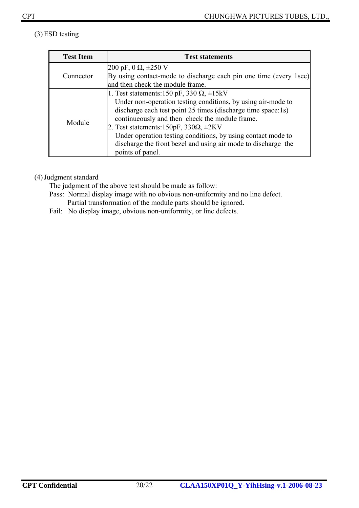## (3)ESD testing

| <b>Test Item</b> | <b>Test statements</b>                                            |
|------------------|-------------------------------------------------------------------|
|                  | 200 pF, 0 $\Omega$ , $\pm 250$ V                                  |
| Connector        | By using contact-mode to discharge each pin one time (every 1sec) |
|                  | and then check the module frame.                                  |
|                  | 1. Test statements: 150 pF, 330 $\Omega$ , $\pm$ 15kV             |
|                  | Under non-operation testing conditions, by using air-mode to      |
|                  | discharge each test point 25 times (discharge time space:1s)      |
| Module           | continueously and then check the module frame.                    |
|                  | 2. Test statements: $150pF$ , $330\Omega$ , $\pm 2KV$             |
|                  | Under operation testing conditions, by using contact mode to      |
|                  | discharge the front bezel and using air mode to discharge the     |
|                  | points of panel.                                                  |

#### (4)Judgment standard

The judgment of the above test should be made as follow:

- Pass: Normal display image with no obvious non-uniformity and no line defect. Partial transformation of the module parts should be ignored.
- Fail: No display image, obvious non-uniformity, or line defects.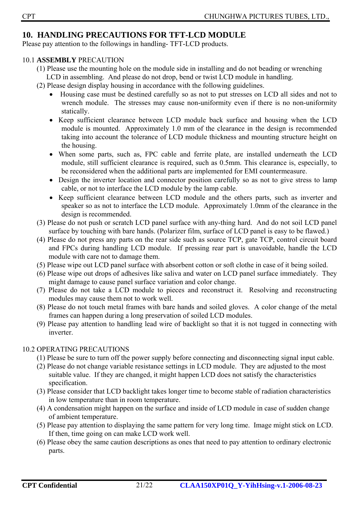## **10. HANDLING PRECAUTIONS FOR TFT-LCD MODULE**

Please pay attention to the followings in handling- TFT-LCD products.

#### 10.1 **ASSEMBLY** PRECAUTION

- (1) Please use the mounting hole on the module side in installing and do not beading or wrenching LCD in assembling. And please do not drop, bend or twist LCD module in handling.
- (2) Please design display housing in accordance with the following guidelines.
	- Housing case must be destined carefully so as not to put stresses on LCD all sides and not to wrench module. The stresses may cause non-uniformity even if there is no non-uniformity statically.
	- Keep sufficient clearance between LCD module back surface and housing when the LCD module is mounted. Approximately 1.0 mm of the clearance in the design is recommended taking into account the tolerance of LCD module thickness and mounting structure height on the housing.
	- When some parts, such as, FPC cable and ferrite plate, are installed underneath the LCD module, still sufficient clearance is required, such as 0.5mm. This clearance is, especially, to be reconsidered when the additional parts are implemented for EMI countermeasure.
	- Design the inverter location and connector position carefully so as not to give stress to lamp cable, or not to interface the LCD module by the lamp cable.
	- Keep sufficient clearance between LCD module and the others parts, such as inverter and speaker so as not to interface the LCD module. Approximately 1.0mm of the clearance in the design is recommended.
- (3) Please do not push or scratch LCD panel surface with any-thing hard. And do not soil LCD panel surface by touching with bare hands. (Polarizer film, surface of LCD panel is easy to be flawed.)
- (4) Please do not press any parts on the rear side such as source TCP, gate TCP, control circuit board and FPCs during handling LCD module. If pressing rear part is unavoidable, handle the LCD module with care not to damage them.
- (5) Please wipe out LCD panel surface with absorbent cotton or soft clothe in case of it being soiled.
- (6) Please wipe out drops of adhesives like saliva and water on LCD panel surface immediately. They might damage to cause panel surface variation and color change.
- (7) Please do not take a LCD module to pieces and reconstruct it. Resolving and reconstructing modules may cause them not to work well.
- (8) Please do not touch metal frames with bare hands and soiled gloves. A color change of the metal frames can happen during a long preservation of soiled LCD modules.
- (9) Please pay attention to handling lead wire of backlight so that it is not tugged in connecting with inverter.

## 10.2 OPERATING PRECAUTIONS

- (1) Please be sure to turn off the power supply before connecting and disconnecting signal input cable.
- (2) Please do not change variable resistance settings in LCD module. They are adjusted to the most suitable value. If they are changed, it might happen LCD does not satisfy the characteristics specification.
- (3) Please consider that LCD backlight takes longer time to become stable of radiation characteristics in low temperature than in room temperature.
- (4) A condensation might happen on the surface and inside of LCD module in case of sudden change of ambient temperature.
- (5) Please pay attention to displaying the same pattern for very long time. Image might stick on LCD. If then, time going on can make LCD work well.
- (6) Please obey the same caution descriptions as ones that need to pay attention to ordinary electronic parts.